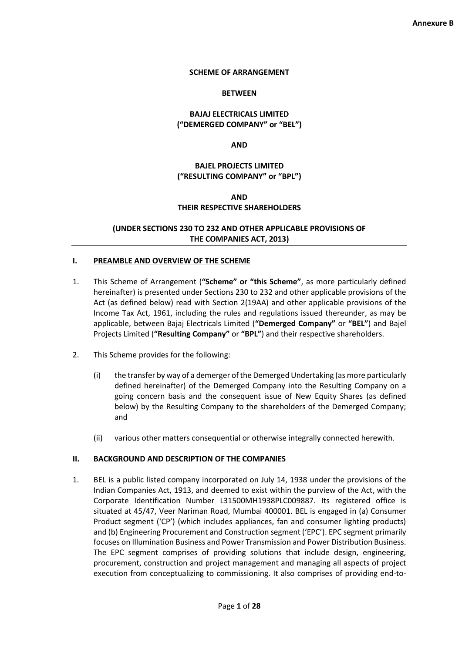#### **SCHEME OF ARRANGEMENT**

#### **BETWEEN**

### **BAJAJ ELECTRICALS LIMITED ("DEMERGED COMPANY" or "BEL")**

**AND**

### **BAJEL PROJECTS LIMITED ("RESULTING COMPANY" or "BPL")**

#### **AND**

#### **THEIR RESPECTIVE SHAREHOLDERS**

### **(UNDER SECTIONS 230 TO 232 AND OTHER APPLICABLE PROVISIONS OF THE COMPANIES ACT, 2013)**

#### **I. PREAMBLE AND OVERVIEW OF THE SCHEME**

- 1. This Scheme of Arrangement (**"Scheme" or "this Scheme"**, as more particularly defined hereinafter) is presented under Sections 230 to 232 and other applicable provisions of the Act (as defined below) read with Section 2(19AA) and other applicable provisions of the Income Tax Act, 1961, including the rules and regulations issued thereunder, as may be applicable, between Bajaj Electricals Limited (**"Demerged Company"** or **"BEL"**) and Bajel Projects Limited (**"Resulting Company"** or **"BPL"**) and their respective shareholders.
- 2. This Scheme provides for the following:
	- (i) the transfer by way of a demerger of the Demerged Undertaking (as more particularly defined hereinafter) of the Demerged Company into the Resulting Company on a going concern basis and the consequent issue of New Equity Shares (as defined below) by the Resulting Company to the shareholders of the Demerged Company; and
	- (ii) various other matters consequential or otherwise integrally connected herewith.

#### **II. BACKGROUND AND DESCRIPTION OF THE COMPANIES**

1. BEL is a public listed company incorporated on July 14, 1938 under the provisions of the Indian Companies Act, 1913, and deemed to exist within the purview of the Act, with the Corporate Identification Number L31500MH1938PLC009887. Its registered office is situated at 45/47, Veer Nariman Road, Mumbai 400001. BEL is engaged in (a) Consumer Product segment ('CP') (which includes appliances, fan and consumer lighting products) and (b) Engineering Procurement and Construction segment ('EPC'). EPC segment primarily focuses on Illumination Business and Power Transmission and Power Distribution Business. The EPC segment comprises of providing solutions that include design, engineering, procurement, construction and project management and managing all aspects of project execution from conceptualizing to commissioning. It also comprises of providing end-to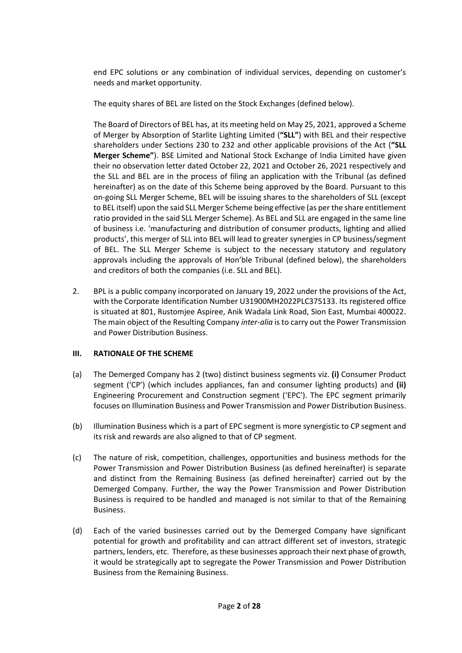end EPC solutions or any combination of individual services, depending on customer's needs and market opportunity.

The equity shares of BEL are listed on the Stock Exchanges (defined below).

The Board of Directors of BEL has, at its meeting held on May 25, 2021, approved a Scheme of Merger by Absorption of Starlite Lighting Limited (**"SLL"**) with BEL and their respective shareholders under Sections 230 to 232 and other applicable provisions of the Act (**"SLL Merger Scheme"**). BSE Limited and National Stock Exchange of India Limited have given their no observation letter dated October 22, 2021 and October 26, 2021 respectively and the SLL and BEL are in the process of filing an application with the Tribunal (as defined hereinafter) as on the date of this Scheme being approved by the Board. Pursuant to this on-going SLL Merger Scheme, BEL will be issuing shares to the shareholders of SLL (except to BEL itself) upon the said SLL Merger Scheme being effective (as per the share entitlement ratio provided in the said SLL Merger Scheme). As BEL and SLL are engaged in the same line of business i.e. 'manufacturing and distribution of consumer products, lighting and allied products', this merger of SLL into BEL will lead to greater synergies in CP business/segment of BEL. The SLL Merger Scheme is subject to the necessary statutory and regulatory approvals including the approvals of Hon'ble Tribunal (defined below), the shareholders and creditors of both the companies (i.e. SLL and BEL).

2. BPL is a public company incorporated on January 19, 2022 under the provisions of the Act, with the Corporate Identification Number U31900MH2022PLC375133. Its registered office is situated at 801, Rustomjee Aspiree, Anik Wadala Link Road, Sion East, Mumbai 400022. The main object of the Resulting Company *inter-alia* is to carry out the Power Transmission and Power Distribution Business.

## **III. RATIONALE OF THE SCHEME**

- (a) The Demerged Company has 2 (two) distinct business segments viz. **(i)** Consumer Product segment ('CP') (which includes appliances, fan and consumer lighting products) and **(ii)** Engineering Procurement and Construction segment ('EPC'). The EPC segment primarily focuses on Illumination Business and Power Transmission and Power Distribution Business.
- (b) Illumination Business which is a part of EPC segment is more synergistic to CP segment and its risk and rewards are also aligned to that of CP segment.
- (c) The nature of risk, competition, challenges, opportunities and business methods for the Power Transmission and Power Distribution Business (as defined hereinafter) is separate and distinct from the Remaining Business (as defined hereinafter) carried out by the Demerged Company. Further, the way the Power Transmission and Power Distribution Business is required to be handled and managed is not similar to that of the Remaining Business.
- (d) Each of the varied businesses carried out by the Demerged Company have significant potential for growth and profitability and can attract different set of investors, strategic partners, lenders, etc. Therefore, as these businesses approach their next phase of growth, it would be strategically apt to segregate the Power Transmission and Power Distribution Business from the Remaining Business.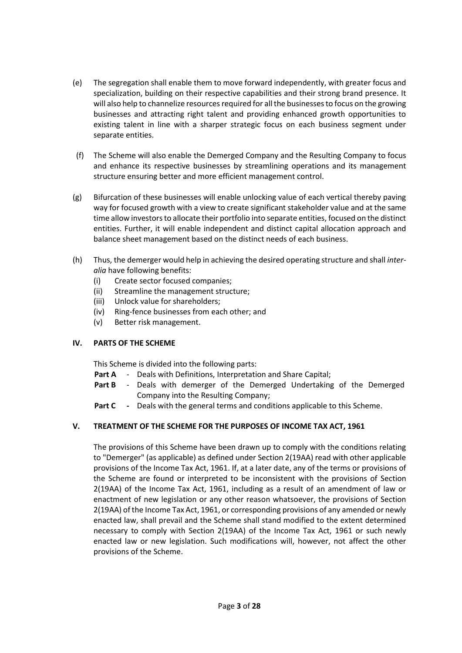- (e) The segregation shall enable them to move forward independently, with greater focus and specialization, building on their respective capabilities and their strong brand presence. It will also help to channelize resources required for all the businesses to focus on the growing businesses and attracting right talent and providing enhanced growth opportunities to existing talent in line with a sharper strategic focus on each business segment under separate entities.
- (f) The Scheme will also enable the Demerged Company and the Resulting Company to focus and enhance its respective businesses by streamlining operations and its management structure ensuring better and more efficient management control.
- (g) Bifurcation of these businesses will enable unlocking value of each vertical thereby paving way for focused growth with a view to create significant stakeholder value and at the same time allow investors to allocate their portfolio into separate entities, focused on the distinct entities. Further, it will enable independent and distinct capital allocation approach and balance sheet management based on the distinct needs of each business.
- (h) Thus, the demerger would help in achieving the desired operating structure and shall *interalia* have following benefits:
	- (i) Create sector focused companies;
	- (ii) Streamline the management structure;
	- (iii) Unlock value for shareholders;
	- (iv) Ring-fence businesses from each other; and
	- (v) Better risk management.

## **IV. PARTS OF THE SCHEME**

This Scheme is divided into the following parts:

- Part A Deals with Definitions, Interpretation and Share Capital;
- **Part B** Deals with demerger of the Demerged Undertaking of the Demerged Company into the Resulting Company;
- **Part C -** Deals with the general terms and conditions applicable to this Scheme.

# **V. TREATMENT OF THE SCHEME FOR THE PURPOSES OF INCOME TAX ACT, 1961**

The provisions of this Scheme have been drawn up to comply with the conditions relating to "Demerger" (as applicable) as defined under Section 2(19AA) read with other applicable provisions of the Income Tax Act, 1961. If, at a later date, any of the terms or provisions of the Scheme are found or interpreted to be inconsistent with the provisions of Section 2(19AA) of the Income Tax Act, 1961, including as a result of an amendment of law or enactment of new legislation or any other reason whatsoever, the provisions of Section 2(19AA) of the Income Tax Act, 1961, or corresponding provisions of any amended or newly enacted law, shall prevail and the Scheme shall stand modified to the extent determined necessary to comply with Section 2(19AA) of the Income Tax Act, 1961 or such newly enacted law or new legislation. Such modifications will, however, not affect the other provisions of the Scheme.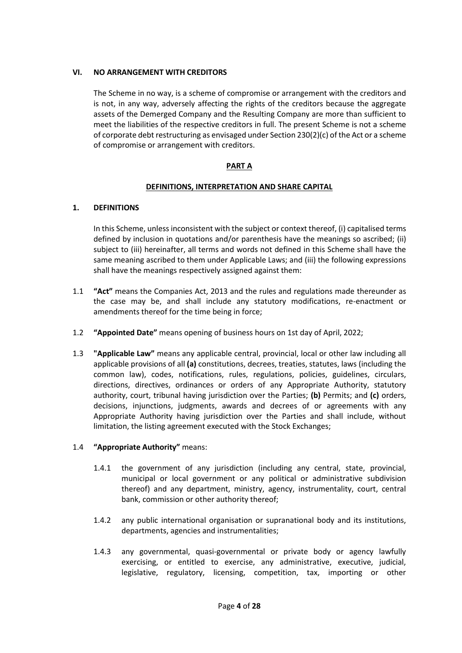## **VI. NO ARRANGEMENT WITH CREDITORS**

The Scheme in no way, is a scheme of compromise or arrangement with the creditors and is not, in any way, adversely affecting the rights of the creditors because the aggregate assets of the Demerged Company and the Resulting Company are more than sufficient to meet the liabilities of the respective creditors in full. The present Scheme is not a scheme of corporate debt restructuring as envisaged under Section 230(2)(c) of the Act or a scheme of compromise or arrangement with creditors.

### **PART A**

### **DEFINITIONS, INTERPRETATION AND SHARE CAPITAL**

### **1. DEFINITIONS**

In this Scheme, unless inconsistent with the subject or context thereof, (i) capitalised terms defined by inclusion in quotations and/or parenthesis have the meanings so ascribed; (ii) subject to (iii) hereinafter, all terms and words not defined in this Scheme shall have the same meaning ascribed to them under Applicable Laws; and (iii) the following expressions shall have the meanings respectively assigned against them:

- 1.1 **"Act"** means the Companies Act, 2013 and the rules and regulations made thereunder as the case may be, and shall include any statutory modifications, re-enactment or amendments thereof for the time being in force;
- 1.2 **"Appointed Date"** means opening of business hours on 1st day of April, 2022;
- 1.3 **"Applicable Law"** means any applicable central, provincial, local or other law including all applicable provisions of all **(a)** constitutions, decrees, treaties, statutes, laws (including the common law), codes, notifications, rules, regulations, policies, guidelines, circulars, directions, directives, ordinances or orders of any Appropriate Authority, statutory authority, court, tribunal having jurisdiction over the Parties; **(b)** Permits; and **(c)** orders, decisions, injunctions, judgments, awards and decrees of or agreements with any Appropriate Authority having jurisdiction over the Parties and shall include, without limitation, the listing agreement executed with the Stock Exchanges;

## 1.4 **"Appropriate Authority"** means:

- 1.4.1 the government of any jurisdiction (including any central, state, provincial, municipal or local government or any political or administrative subdivision thereof) and any department, ministry, agency, instrumentality, court, central bank, commission or other authority thereof;
- 1.4.2 any public international organisation or supranational body and its institutions, departments, agencies and instrumentalities;
- 1.4.3 any governmental, quasi-governmental or private body or agency lawfully exercising, or entitled to exercise, any administrative, executive, judicial, legislative, regulatory, licensing, competition, tax, importing or other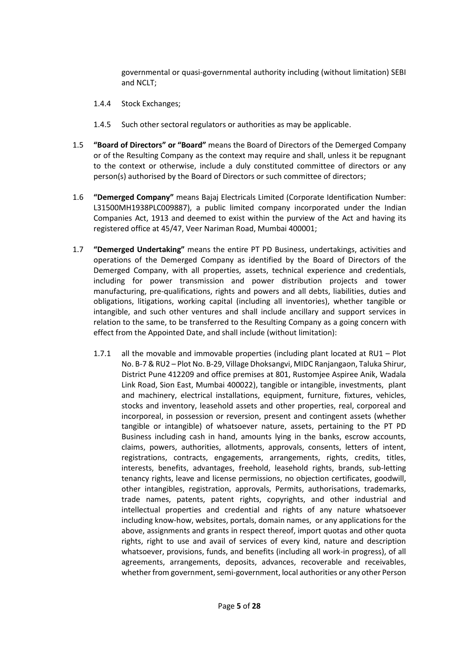governmental or quasi-governmental authority including (without limitation) SEBI and NCLT;

- 1.4.4 Stock Exchanges;
- 1.4.5 Such other sectoral regulators or authorities as may be applicable.
- 1.5 **"Board of Directors" or "Board"** means the Board of Directors of the Demerged Company or of the Resulting Company as the context may require and shall, unless it be repugnant to the context or otherwise, include a duly constituted committee of directors or any person(s) authorised by the Board of Directors or such committee of directors;
- 1.6 **"Demerged Company"** means Bajaj Electricals Limited (Corporate Identification Number: L31500MH1938PLC009887), a public limited company incorporated under the Indian Companies Act, 1913 and deemed to exist within the purview of the Act and having its registered office at 45/47, Veer Nariman Road, Mumbai 400001;
- 1.7 **"Demerged Undertaking"** means the entire PT PD Business, undertakings, activities and operations of the Demerged Company as identified by the Board of Directors of the Demerged Company, with all properties, assets, technical experience and credentials, including for power transmission and power distribution projects and tower manufacturing, pre-qualifications, rights and powers and all debts, liabilities, duties and obligations, litigations, working capital (including all inventories), whether tangible or intangible, and such other ventures and shall include ancillary and support services in relation to the same, to be transferred to the Resulting Company as a going concern with effect from the Appointed Date, and shall include (without limitation):
	- 1.7.1 all the movable and immovable properties (including plant located at RU1 Plot No. B-7 & RU2 – Plot No. B-29, Village Dhoksangvi, MIDC Ranjangaon, Taluka Shirur, District Pune 412209 and office premises at 801, Rustomjee Aspiree Anik, Wadala Link Road, Sion East, Mumbai 400022), tangible or intangible, investments, plant and machinery, electrical installations, equipment, furniture, fixtures, vehicles, stocks and inventory, leasehold assets and other properties, real, corporeal and incorporeal, in possession or reversion, present and contingent assets (whether tangible or intangible) of whatsoever nature, assets, pertaining to the PT PD Business including cash in hand, amounts lying in the banks, escrow accounts, claims, powers, authorities, allotments, approvals, consents, letters of intent, registrations, contracts, engagements, arrangements, rights, credits, titles, interests, benefits, advantages, freehold, leasehold rights, brands, sub-letting tenancy rights, leave and license permissions, no objection certificates, goodwill, other intangibles, registration, approvals, Permits, authorisations, trademarks, trade names, patents, patent rights, copyrights, and other industrial and intellectual properties and credential and rights of any nature whatsoever including know-how, websites, portals, domain names, or any applications for the above, assignments and grants in respect thereof, import quotas and other quota rights, right to use and avail of services of every kind, nature and description whatsoever, provisions, funds, and benefits (including all work-in progress), of all agreements, arrangements, deposits, advances, recoverable and receivables, whether from government, semi-government, local authorities or any other Person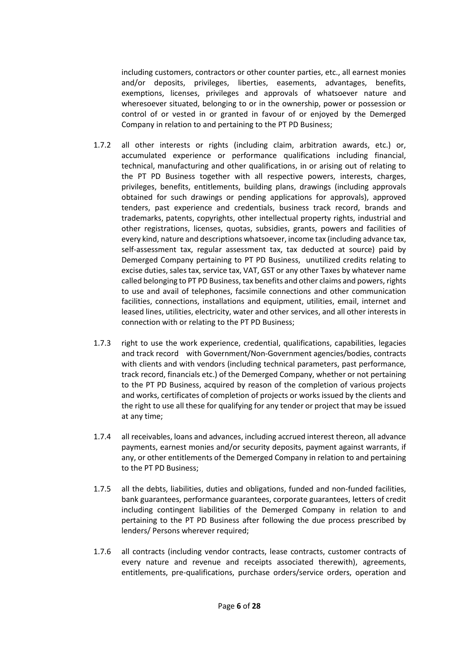including customers, contractors or other counter parties, etc., all earnest monies and/or deposits, privileges, liberties, easements, advantages, benefits, exemptions, licenses, privileges and approvals of whatsoever nature and wheresoever situated, belonging to or in the ownership, power or possession or control of or vested in or granted in favour of or enjoyed by the Demerged Company in relation to and pertaining to the PT PD Business;

- 1.7.2 all other interests or rights (including claim, arbitration awards, etc.) or, accumulated experience or performance qualifications including financial, technical, manufacturing and other qualifications, in or arising out of relating to the PT PD Business together with all respective powers, interests, charges, privileges, benefits, entitlements, building plans, drawings (including approvals obtained for such drawings or pending applications for approvals), approved tenders, past experience and credentials, business track record, brands and trademarks, patents, copyrights, other intellectual property rights, industrial and other registrations, licenses, quotas, subsidies, grants, powers and facilities of every kind, nature and descriptions whatsoever, income tax (including advance tax, self-assessment tax, regular assessment tax, tax deducted at source) paid by Demerged Company pertaining to PT PD Business, unutilized credits relating to excise duties, sales tax, service tax, VAT, GST or any other Taxes by whatever name called belonging to PT PD Business, tax benefits and other claims and powers, rights to use and avail of telephones, facsimile connections and other communication facilities, connections, installations and equipment, utilities, email, internet and leased lines, utilities, electricity, water and other services, and all other interests in connection with or relating to the PT PD Business;
- 1.7.3 right to use the work experience, credential, qualifications, capabilities, legacies and track record with Government/Non-Government agencies/bodies, contracts with clients and with vendors (including technical parameters, past performance, track record, financials etc.) of the Demerged Company, whether or not pertaining to the PT PD Business, acquired by reason of the completion of various projects and works, certificates of completion of projects or works issued by the clients and the right to use all these for qualifying for any tender or project that may be issued at any time;
- 1.7.4 all receivables, loans and advances, including accrued interest thereon, all advance payments, earnest monies and/or security deposits, payment against warrants, if any, or other entitlements of the Demerged Company in relation to and pertaining to the PT PD Business;
- 1.7.5 all the debts, liabilities, duties and obligations, funded and non-funded facilities, bank guarantees, performance guarantees, corporate guarantees, letters of credit including contingent liabilities of the Demerged Company in relation to and pertaining to the PT PD Business after following the due process prescribed by lenders/ Persons wherever required;
- 1.7.6 all contracts (including vendor contracts, lease contracts, customer contracts of every nature and revenue and receipts associated therewith), agreements, entitlements, pre-qualifications, purchase orders/service orders, operation and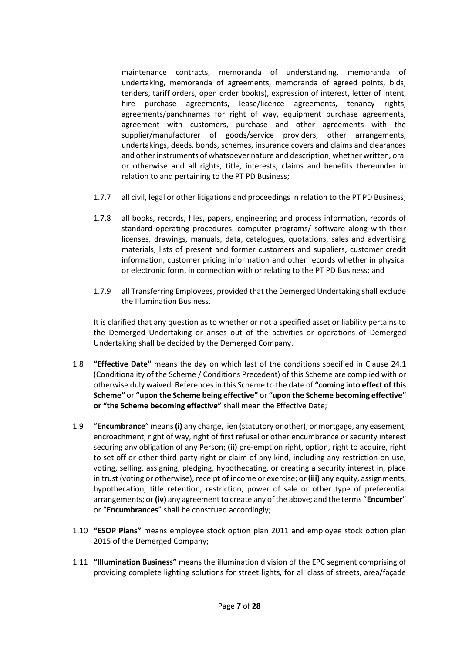maintenance contracts, memoranda of understanding, memoranda of undertaking, memoranda of agreements, memoranda of agreed points, bids, tenders, tariff orders, open order book(s), expression of interest, letter of intent, hire purchase agreements, lease/licence agreements, tenancy rights, agreements/panchnamas for right of way, equipment purchase agreements, agreement with customers, purchase and other agreements with the supplier/manufacturer of goods/service providers, other arrangements, undertakings, deeds, bonds, schemes, insurance covers and claims and clearances and other instruments of whatsoever nature and description, whether written, oral or otherwise and all rights, title, interests, claims and benefits thereunder in relation to and pertaining to the PT PD Business;

- 1.7.7 all civil, legal or other litigations and proceedings in relation to the PT PD Business;
- 1.7.8 all books, records, files, papers, engineering and process information, records of standard operating procedures, computer programs/ software along with their licenses, drawings, manuals, data, catalogues, quotations, sales and advertising materials, lists of present and former customers and suppliers, customer credit information, customer pricing information and other records whether in physical or electronic form, in connection with or relating to the PT PD Business; and
- 1.7.9 all Transferring Employees, provided that the Demerged Undertaking shall exclude the Illumination Business.

It is clarified that any question as to whether or not a specified asset or liability pertains to the Demerged Undertaking or arises out of the activities or operations of Demerged Undertaking shall be decided by the Demerged Company.

- 1.8 **"Effective Date"** means the day on which last of the conditions specified in Clause 24.1 (Conditionality of the Scheme / Conditions Precedent) of this Scheme are complied with or otherwise duly waived. References in this Scheme to the date of **"coming into effect of this Scheme"** or **"upon the Scheme being effective"** or **"upon the Scheme becoming effective" or "the Scheme becoming effective"** shall mean the Effective Date;
- 1.9 "**Encumbrance**" means **(i)** any charge, lien (statutory or other), or mortgage, any easement, encroachment, right of way, right of first refusal or other encumbrance or security interest securing any obligation of any Person; **(ii)** pre-emption right, option, right to acquire, right to set off or other third party right or claim of any kind, including any restriction on use, voting, selling, assigning, pledging, hypothecating, or creating a security interest in, place in trust (voting or otherwise), receipt of income or exercise; or **(iii)** any equity, assignments, hypothecation, title retention, restriction, power of sale or other type of preferential arrangements; or **(iv)** any agreement to create any of the above; and the terms "**Encumber**" or "**Encumbrances**" shall be construed accordingly;
- 1.10 **"ESOP Plans"** means employee stock option plan 2011 and employee stock option plan 2015 of the Demerged Company;
- 1.11 **"Illumination Business"** means the illumination division of the EPC segment comprising of providing complete lighting solutions for street lights, for all class of streets, area/façade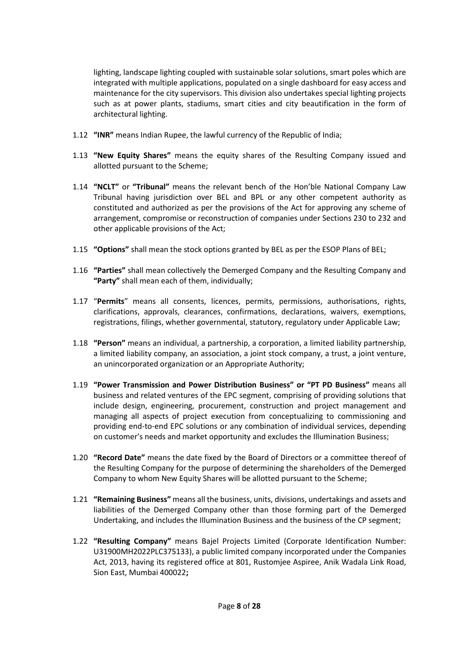lighting, landscape lighting coupled with sustainable solar solutions, smart poles which are integrated with multiple applications, populated on a single dashboard for easy access and maintenance for the city supervisors. This division also undertakes special lighting projects such as at power plants, stadiums, smart cities and city beautification in the form of architectural lighting.

- 1.12 **"INR"** means Indian Rupee, the lawful currency of the Republic of India;
- 1.13 **"New Equity Shares"** means the equity shares of the Resulting Company issued and allotted pursuant to the Scheme;
- 1.14 **"NCLT"** or **"Tribunal"** means the relevant bench of the Hon'ble National Company Law Tribunal having jurisdiction over BEL and BPL or any other competent authority as constituted and authorized as per the provisions of the Act for approving any scheme of arrangement, compromise or reconstruction of companies under Sections 230 to 232 and other applicable provisions of the Act;
- 1.15 **"Options"** shall mean the stock options granted by BEL as per the ESOP Plans of BEL;
- 1.16 **"Parties"** shall mean collectively the Demerged Company and the Resulting Company and **"Party"** shall mean each of them, individually;
- 1.17 "**Permits**" means all consents, licences, permits, permissions, authorisations, rights, clarifications, approvals, clearances, confirmations, declarations, waivers, exemptions, registrations, filings, whether governmental, statutory, regulatory under Applicable Law;
- 1.18 **"Person"** means an individual, a partnership, a corporation, a limited liability partnership, a limited liability company, an association, a joint stock company, a trust, a joint venture, an unincorporated organization or an Appropriate Authority;
- 1.19 **"Power Transmission and Power Distribution Business" or "PT PD Business"** means all business and related ventures of the EPC segment, comprising of providing solutions that include design, engineering, procurement, construction and project management and managing all aspects of project execution from conceptualizing to commissioning and providing end-to-end EPC solutions or any combination of individual services, depending on customer's needs and market opportunity and excludes the Illumination Business;
- 1.20 **"Record Date"** means the date fixed by the Board of Directors or a committee thereof of the Resulting Company for the purpose of determining the shareholders of the Demerged Company to whom New Equity Shares will be allotted pursuant to the Scheme;
- 1.21 **"Remaining Business"** means all the business, units, divisions, undertakings and assets and liabilities of the Demerged Company other than those forming part of the Demerged Undertaking, and includes the Illumination Business and the business of the CP segment;
- 1.22 **"Resulting Company"** means Bajel Projects Limited (Corporate Identification Number: U31900MH2022PLC375133), a public limited company incorporated under the Companies Act, 2013, having its registered office at 801, Rustomjee Aspiree, Anik Wadala Link Road, Sion East, Mumbai 400022**;**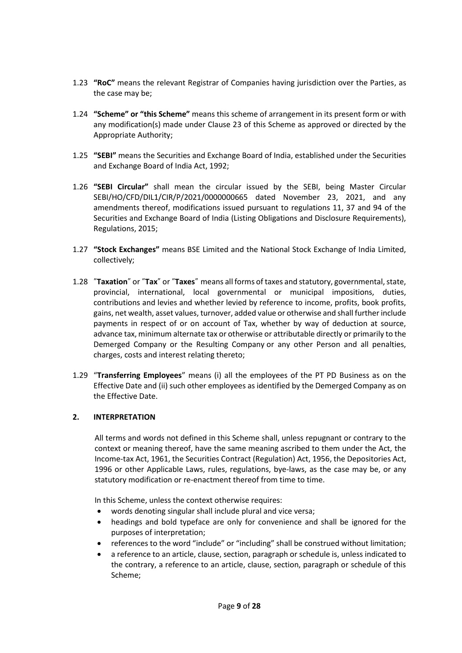- 1.23 **"RoC"** means the relevant Registrar of Companies having jurisdiction over the Parties, as the case may be;
- 1.24 **"Scheme" or "this Scheme"** means this scheme of arrangement in its present form or with any modification(s) made under Clause 23 of this Scheme as approved or directed by the Appropriate Authority;
- 1.25 **"SEBI"** means the Securities and Exchange Board of India, established under the Securities and Exchange Board of India Act, 1992;
- 1.26 **"SEBI Circular"** shall mean the circular issued by the SEBI, being Master Circular SEBI/HO/CFD/DIL1/CIR/P/2021/0000000665 dated November 23, 2021, and any amendments thereof, modifications issued pursuant to regulations 11, 37 and 94 of the Securities and Exchange Board of India (Listing Obligations and Disclosure Requirements), Regulations, 2015;
- 1.27 **"Stock Exchanges"** means BSE Limited and the National Stock Exchange of India Limited, collectively;
- 1.28 "**Taxation**" or "**Tax**" or "**Taxes**" means all forms of taxes and statutory, governmental, state, provincial, international, local governmental or municipal impositions, duties, contributions and levies and whether levied by reference to income, profits, book profits, gains, net wealth, asset values, turnover, added value or otherwise and shall further include payments in respect of or on account of Tax, whether by way of deduction at source, advance tax, minimum alternate tax or otherwise or attributable directly or primarily to the Demerged Company or the Resulting Company or any other Person and all penalties, charges, costs and interest relating thereto;
- 1.29 "**Transferring Employees**" means (i) all the employees of the PT PD Business as on the Effective Date and (ii) such other employees as identified by the Demerged Company as on the Effective Date.

## **2. INTERPRETATION**

All terms and words not defined in this Scheme shall, unless repugnant or contrary to the context or meaning thereof, have the same meaning ascribed to them under the Act, the Income-tax Act, 1961, the Securities Contract (Regulation) Act, 1956, the Depositories Act, 1996 or other Applicable Laws, rules, regulations, bye-laws, as the case may be, or any statutory modification or re-enactment thereof from time to time.

In this Scheme, unless the context otherwise requires:

- words denoting singular shall include plural and vice versa;
- headings and bold typeface are only for convenience and shall be ignored for the purposes of interpretation;
- references to the word "include" or "including" shall be construed without limitation;
- a reference to an article, clause, section, paragraph or schedule is, unless indicated to the contrary, a reference to an article, clause, section, paragraph or schedule of this Scheme;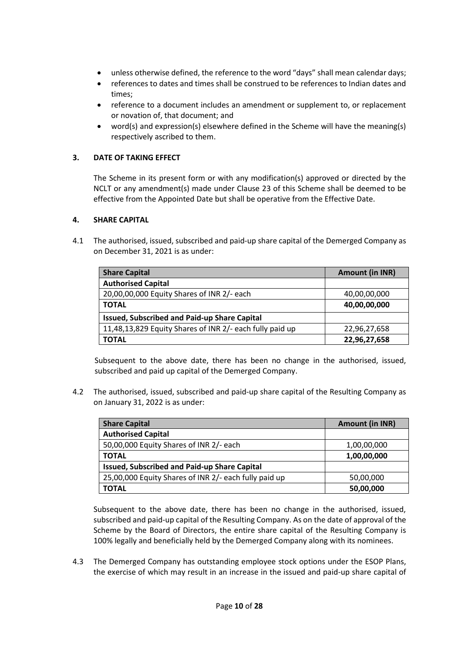- unless otherwise defined, the reference to the word "days" shall mean calendar days;
- references to dates and times shall be construed to be references to Indian dates and times;
- reference to a document includes an amendment or supplement to, or replacement or novation of, that document; and
- word(s) and expression(s) elsewhere defined in the Scheme will have the meaning(s) respectively ascribed to them.

## **3. DATE OF TAKING EFFECT**

The Scheme in its present form or with any modification(s) approved or directed by the NCLT or any amendment(s) made under Clause 23 of this Scheme shall be deemed to be effective from the Appointed Date but shall be operative from the Effective Date.

## **4. SHARE CAPITAL**

4.1 The authorised, issued, subscribed and paid-up share capital of the Demerged Company as on December 31, 2021 is as under:

| <b>Share Capital</b>                                     | <b>Amount (in INR)</b> |
|----------------------------------------------------------|------------------------|
| <b>Authorised Capital</b>                                |                        |
| 20,00,00,000 Equity Shares of INR 2/- each               | 40,00,00,000           |
| <b>TOTAL</b>                                             | 40,00,00,000           |
| <b>Issued, Subscribed and Paid-up Share Capital</b>      |                        |
| 11,48,13,829 Equity Shares of INR 2/- each fully paid up | 22,96,27,658           |
| <b>TOTAL</b>                                             | 22,96,27,658           |

Subsequent to the above date, there has been no change in the authorised, issued, subscribed and paid up capital of the Demerged Company.

4.2 The authorised, issued, subscribed and paid-up share capital of the Resulting Company as on January 31, 2022 is as under:

| <b>Share Capital</b>                                  | <b>Amount (in INR)</b> |
|-------------------------------------------------------|------------------------|
| <b>Authorised Capital</b>                             |                        |
| 50,00,000 Equity Shares of INR 2/- each               | 1,00,00,000            |
| <b>TOTAL</b>                                          | 1,00,00,000            |
| <b>Issued, Subscribed and Paid-up Share Capital</b>   |                        |
| 25,00,000 Equity Shares of INR 2/- each fully paid up | 50,00,000              |
| <b>TOTAL</b>                                          | 50,00,000              |

Subsequent to the above date, there has been no change in the authorised, issued, subscribed and paid-up capital of the Resulting Company. As on the date of approval of the Scheme by the Board of Directors, the entire share capital of the Resulting Company is 100% legally and beneficially held by the Demerged Company along with its nominees.

4.3 The Demerged Company has outstanding employee stock options under the ESOP Plans, the exercise of which may result in an increase in the issued and paid-up share capital of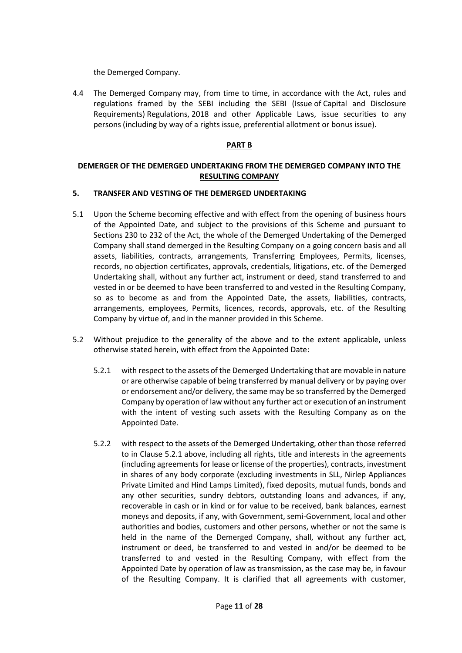the Demerged Company.

4.4 The Demerged Company may, from time to time, in accordance with the Act, rules and regulations framed by the SEBI including the SEBI (Issue of Capital and Disclosure Requirements) Regulations, 2018 and other Applicable Laws, issue securities to any persons (including by way of a rights issue, preferential allotment or bonus issue).

#### **PART B**

## **DEMERGER OF THE DEMERGED UNDERTAKING FROM THE DEMERGED COMPANY INTO THE RESULTING COMPANY**

#### **5. TRANSFER AND VESTING OF THE DEMERGED UNDERTAKING**

- 5.1 Upon the Scheme becoming effective and with effect from the opening of business hours of the Appointed Date, and subject to the provisions of this Scheme and pursuant to Sections 230 to 232 of the Act, the whole of the Demerged Undertaking of the Demerged Company shall stand demerged in the Resulting Company on a going concern basis and all assets, liabilities, contracts, arrangements, Transferring Employees, Permits, licenses, records, no objection certificates, approvals, credentials, litigations, etc. of the Demerged Undertaking shall, without any further act, instrument or deed, stand transferred to and vested in or be deemed to have been transferred to and vested in the Resulting Company, so as to become as and from the Appointed Date, the assets, liabilities, contracts, arrangements, employees, Permits, licences, records, approvals, etc. of the Resulting Company by virtue of, and in the manner provided in this Scheme.
- 5.2 Without prejudice to the generality of the above and to the extent applicable, unless otherwise stated herein, with effect from the Appointed Date:
	- 5.2.1 with respect to the assets of the Demerged Undertaking that are movable in nature or are otherwise capable of being transferred by manual delivery or by paying over or endorsement and/or delivery, the same may be so transferred by the Demerged Company by operation of law without any further act or execution of an instrument with the intent of vesting such assets with the Resulting Company as on the Appointed Date.
	- 5.2.2 with respect to the assets of the Demerged Undertaking, other than those referred to in Clause 5.2.1 above, including all rights, title and interests in the agreements (including agreements for lease or license of the properties), contracts, investment in shares of any body corporate (excluding investments in SLL, Nirlep Appliances Private Limited and Hind Lamps Limited), fixed deposits, mutual funds, bonds and any other securities, sundry debtors, outstanding loans and advances, if any, recoverable in cash or in kind or for value to be received, bank balances, earnest moneys and deposits, if any, with Government, semi-Government, local and other authorities and bodies, customers and other persons, whether or not the same is held in the name of the Demerged Company, shall, without any further act, instrument or deed, be transferred to and vested in and/or be deemed to be transferred to and vested in the Resulting Company, with effect from the Appointed Date by operation of law as transmission, as the case may be, in favour of the Resulting Company. It is clarified that all agreements with customer,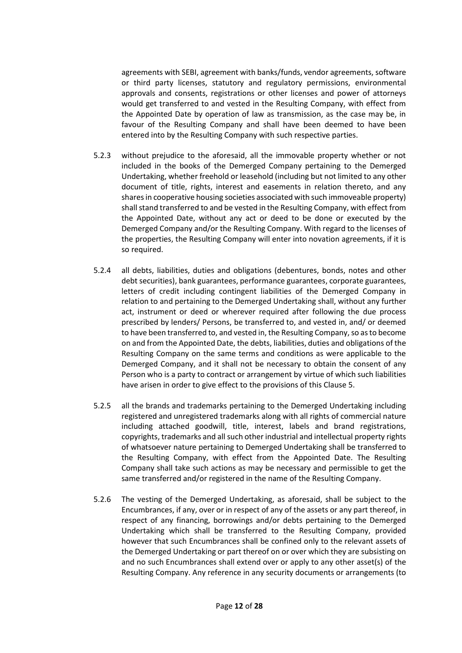agreements with SEBI, agreement with banks/funds, vendor agreements, software or third party licenses, statutory and regulatory permissions, environmental approvals and consents, registrations or other licenses and power of attorneys would get transferred to and vested in the Resulting Company, with effect from the Appointed Date by operation of law as transmission, as the case may be, in favour of the Resulting Company and shall have been deemed to have been entered into by the Resulting Company with such respective parties.

- 5.2.3 without prejudice to the aforesaid, all the immovable property whether or not included in the books of the Demerged Company pertaining to the Demerged Undertaking, whether freehold or leasehold (including but not limited to any other document of title, rights, interest and easements in relation thereto, and any shares in cooperative housing societies associated with such immoveable property) shall stand transferred to and be vested in the Resulting Company, with effect from the Appointed Date, without any act or deed to be done or executed by the Demerged Company and/or the Resulting Company. With regard to the licenses of the properties, the Resulting Company will enter into novation agreements, if it is so required.
- 5.2.4 all debts, liabilities, duties and obligations (debentures, bonds, notes and other debt securities), bank guarantees, performance guarantees, corporate guarantees, letters of credit including contingent liabilities of the Demerged Company in relation to and pertaining to the Demerged Undertaking shall, without any further act, instrument or deed or wherever required after following the due process prescribed by lenders/ Persons, be transferred to, and vested in, and/ or deemed to have been transferred to, and vested in, the Resulting Company, so as to become on and from the Appointed Date, the debts, liabilities, duties and obligations of the Resulting Company on the same terms and conditions as were applicable to the Demerged Company, and it shall not be necessary to obtain the consent of any Person who is a party to contract or arrangement by virtue of which such liabilities have arisen in order to give effect to the provisions of this Clause 5.
- 5.2.5 all the brands and trademarks pertaining to the Demerged Undertaking including registered and unregistered trademarks along with all rights of commercial nature including attached goodwill, title, interest, labels and brand registrations, copyrights, trademarks and all such other industrial and intellectual property rights of whatsoever nature pertaining to Demerged Undertaking shall be transferred to the Resulting Company, with effect from the Appointed Date. The Resulting Company shall take such actions as may be necessary and permissible to get the same transferred and/or registered in the name of the Resulting Company.
- 5.2.6 The vesting of the Demerged Undertaking, as aforesaid, shall be subject to the Encumbrances, if any, over or in respect of any of the assets or any part thereof, in respect of any financing, borrowings and/or debts pertaining to the Demerged Undertaking which shall be transferred to the Resulting Company, provided however that such Encumbrances shall be confined only to the relevant assets of the Demerged Undertaking or part thereof on or over which they are subsisting on and no such Encumbrances shall extend over or apply to any other asset(s) of the Resulting Company. Any reference in any security documents or arrangements (to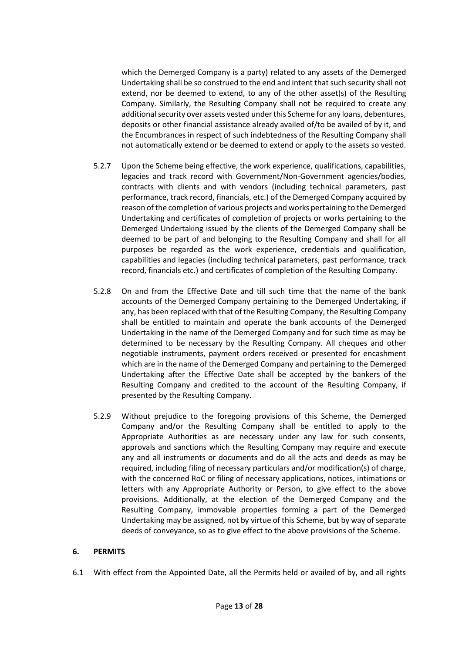which the Demerged Company is a party) related to any assets of the Demerged Undertaking shall be so construed to the end and intent that such security shall not extend, nor be deemed to extend, to any of the other asset(s) of the Resulting Company. Similarly, the Resulting Company shall not be required to create any additional security over assets vested under this Scheme for any loans, debentures, deposits or other financial assistance already availed of/to be availed of by it, and the Encumbrances in respect of such indebtedness of the Resulting Company shall not automatically extend or be deemed to extend or apply to the assets so vested.

- 5.2.7 Upon the Scheme being effective, the work experience, qualifications, capabilities, legacies and track record with Government/Non-Government agencies/bodies, contracts with clients and with vendors (including technical parameters, past performance, track record, financials, etc.) of the Demerged Company acquired by reason of the completion of various projects and works pertaining to the Demerged Undertaking and certificates of completion of projects or works pertaining to the Demerged Undertaking issued by the clients of the Demerged Company shall be deemed to be part of and belonging to the Resulting Company and shall for all purposes be regarded as the work experience, credentials and qualification, capabilities and legacies (including technical parameters, past performance, track record, financials etc.) and certificates of completion of the Resulting Company.
- 5.2.8 On and from the Effective Date and till such time that the name of the bank accounts of the Demerged Company pertaining to the Demerged Undertaking, if any, has been replaced with that of the Resulting Company, the Resulting Company shall be entitled to maintain and operate the bank accounts of the Demerged Undertaking in the name of the Demerged Company and for such time as may be determined to be necessary by the Resulting Company. All cheques and other negotiable instruments, payment orders received or presented for encashment which are in the name of the Demerged Company and pertaining to the Demerged Undertaking after the Effective Date shall be accepted by the bankers of the Resulting Company and credited to the account of the Resulting Company, if presented by the Resulting Company.
- 5.2.9 Without prejudice to the foregoing provisions of this Scheme, the Demerged Company and/or the Resulting Company shall be entitled to apply to the Appropriate Authorities as are necessary under any law for such consents, approvals and sanctions which the Resulting Company may require and execute any and all instruments or documents and do all the acts and deeds as may be required, including filing of necessary particulars and/or modification(s) of charge, with the concerned RoC or filing of necessary applications, notices, intimations or letters with any Appropriate Authority or Person, to give effect to the above provisions. Additionally, at the election of the Demerged Company and the Resulting Company, immovable properties forming a part of the Demerged Undertaking may be assigned, not by virtue of this Scheme, but by way of separate deeds of conveyance, so as to give effect to the above provisions of the Scheme.

## **6. PERMITS**

6.1 With effect from the Appointed Date, all the Permits held or availed of by, and all rights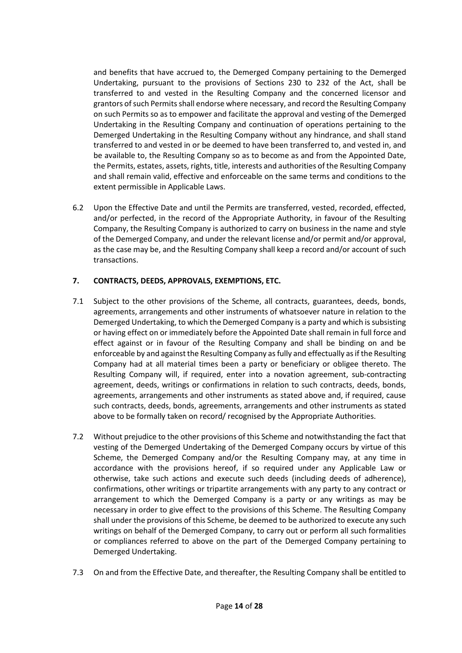and benefits that have accrued to, the Demerged Company pertaining to the Demerged Undertaking, pursuant to the provisions of Sections 230 to 232 of the Act, shall be transferred to and vested in the Resulting Company and the concerned licensor and grantors of such Permits shall endorse where necessary, and record the Resulting Company on such Permits so as to empower and facilitate the approval and vesting of the Demerged Undertaking in the Resulting Company and continuation of operations pertaining to the Demerged Undertaking in the Resulting Company without any hindrance, and shall stand transferred to and vested in or be deemed to have been transferred to, and vested in, and be available to, the Resulting Company so as to become as and from the Appointed Date, the Permits, estates, assets, rights, title, interests and authorities of the Resulting Company and shall remain valid, effective and enforceable on the same terms and conditions to the extent permissible in Applicable Laws.

6.2 Upon the Effective Date and until the Permits are transferred, vested, recorded, effected, and/or perfected, in the record of the Appropriate Authority, in favour of the Resulting Company, the Resulting Company is authorized to carry on business in the name and style of the Demerged Company, and under the relevant license and/or permit and/or approval, as the case may be, and the Resulting Company shall keep a record and/or account of such transactions.

## **7. CONTRACTS, DEEDS, APPROVALS, EXEMPTIONS, ETC.**

- 7.1 Subject to the other provisions of the Scheme, all contracts, guarantees, deeds, bonds, agreements, arrangements and other instruments of whatsoever nature in relation to the Demerged Undertaking, to which the Demerged Company is a party and which is subsisting or having effect on or immediately before the Appointed Date shall remain in full force and effect against or in favour of the Resulting Company and shall be binding on and be enforceable by and against the Resulting Company as fully and effectually as if the Resulting Company had at all material times been a party or beneficiary or obligee thereto. The Resulting Company will, if required, enter into a novation agreement, sub-contracting agreement, deeds, writings or confirmations in relation to such contracts, deeds, bonds, agreements, arrangements and other instruments as stated above and, if required, cause such contracts, deeds, bonds, agreements, arrangements and other instruments as stated above to be formally taken on record/ recognised by the Appropriate Authorities.
- 7.2 Without prejudice to the other provisions of this Scheme and notwithstanding the fact that vesting of the Demerged Undertaking of the Demerged Company occurs by virtue of this Scheme, the Demerged Company and/or the Resulting Company may, at any time in accordance with the provisions hereof, if so required under any Applicable Law or otherwise, take such actions and execute such deeds (including deeds of adherence), confirmations, other writings or tripartite arrangements with any party to any contract or arrangement to which the Demerged Company is a party or any writings as may be necessary in order to give effect to the provisions of this Scheme. The Resulting Company shall under the provisions of this Scheme, be deemed to be authorized to execute any such writings on behalf of the Demerged Company, to carry out or perform all such formalities or compliances referred to above on the part of the Demerged Company pertaining to Demerged Undertaking.
- 7.3 On and from the Effective Date, and thereafter, the Resulting Company shall be entitled to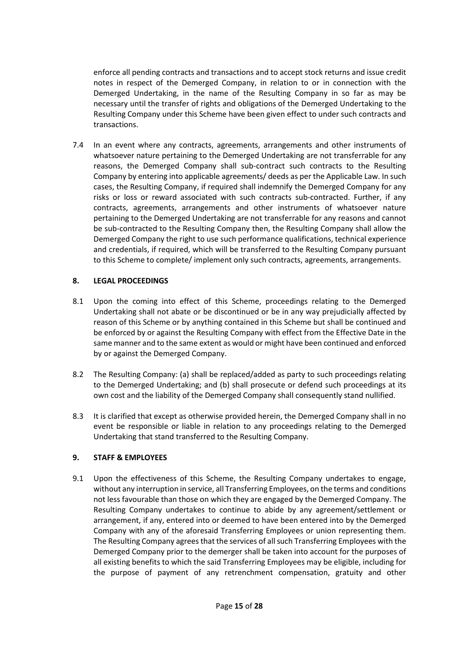enforce all pending contracts and transactions and to accept stock returns and issue credit notes in respect of the Demerged Company, in relation to or in connection with the Demerged Undertaking, in the name of the Resulting Company in so far as may be necessary until the transfer of rights and obligations of the Demerged Undertaking to the Resulting Company under this Scheme have been given effect to under such contracts and transactions.

7.4 In an event where any contracts, agreements, arrangements and other instruments of whatsoever nature pertaining to the Demerged Undertaking are not transferrable for any reasons, the Demerged Company shall sub-contract such contracts to the Resulting Company by entering into applicable agreements/ deeds as per the Applicable Law. In such cases, the Resulting Company, if required shall indemnify the Demerged Company for any risks or loss or reward associated with such contracts sub-contracted. Further, if any contracts, agreements, arrangements and other instruments of whatsoever nature pertaining to the Demerged Undertaking are not transferrable for any reasons and cannot be sub-contracted to the Resulting Company then, the Resulting Company shall allow the Demerged Company the right to use such performance qualifications, technical experience and credentials, if required, which will be transferred to the Resulting Company pursuant to this Scheme to complete/ implement only such contracts, agreements, arrangements.

## **8. LEGAL PROCEEDINGS**

- 8.1 Upon the coming into effect of this Scheme, proceedings relating to the Demerged Undertaking shall not abate or be discontinued or be in any way prejudicially affected by reason of this Scheme or by anything contained in this Scheme but shall be continued and be enforced by or against the Resulting Company with effect from the Effective Date in the same manner and to the same extent as would or might have been continued and enforced by or against the Demerged Company.
- 8.2 The Resulting Company: (a) shall be replaced/added as party to such proceedings relating to the Demerged Undertaking; and (b) shall prosecute or defend such proceedings at its own cost and the liability of the Demerged Company shall consequently stand nullified.
- 8.3 It is clarified that except as otherwise provided herein, the Demerged Company shall in no event be responsible or liable in relation to any proceedings relating to the Demerged Undertaking that stand transferred to the Resulting Company.

# **9. STAFF & EMPLOYEES**

9.1 Upon the effectiveness of this Scheme, the Resulting Company undertakes to engage, without any interruption in service, all Transferring Employees, on the terms and conditions not less favourable than those on which they are engaged by the Demerged Company. The Resulting Company undertakes to continue to abide by any agreement/settlement or arrangement, if any, entered into or deemed to have been entered into by the Demerged Company with any of the aforesaid Transferring Employees or union representing them. The Resulting Company agrees that the services of all such Transferring Employees with the Demerged Company prior to the demerger shall be taken into account for the purposes of all existing benefits to which the said Transferring Employees may be eligible, including for the purpose of payment of any retrenchment compensation, gratuity and other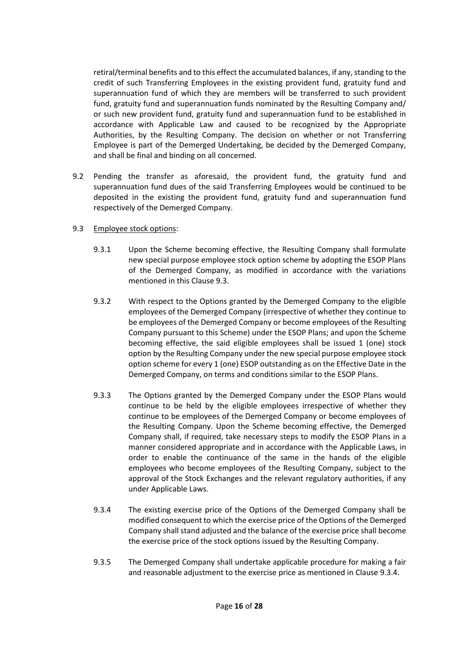retiral/terminal benefits and to this effect the accumulated balances, if any, standing to the credit of such Transferring Employees in the existing provident fund, gratuity fund and superannuation fund of which they are members will be transferred to such provident fund, gratuity fund and superannuation funds nominated by the Resulting Company and/ or such new provident fund, gratuity fund and superannuation fund to be established in accordance with Applicable Law and caused to be recognized by the Appropriate Authorities, by the Resulting Company. The decision on whether or not Transferring Employee is part of the Demerged Undertaking, be decided by the Demerged Company, and shall be final and binding on all concerned.

9.2 Pending the transfer as aforesaid, the provident fund, the gratuity fund and superannuation fund dues of the said Transferring Employees would be continued to be deposited in the existing the provident fund, gratuity fund and superannuation fund respectively of the Demerged Company.

### 9.3 Employee stock options:

- 9.3.1 Upon the Scheme becoming effective, the Resulting Company shall formulate new special purpose employee stock option scheme by adopting the ESOP Plans of the Demerged Company, as modified in accordance with the variations mentioned in this Clause 9.3.
- 9.3.2 With respect to the Options granted by the Demerged Company to the eligible employees of the Demerged Company (irrespective of whether they continue to be employees of the Demerged Company or become employees of the Resulting Company pursuant to this Scheme) under the ESOP Plans; and upon the Scheme becoming effective, the said eligible employees shall be issued 1 (one) stock option by the Resulting Company under the new special purpose employee stock option scheme for every 1 (one) ESOP outstanding as on the Effective Date in the Demerged Company, on terms and conditions similar to the ESOP Plans.
- 9.3.3 The Options granted by the Demerged Company under the ESOP Plans would continue to be held by the eligible employees irrespective of whether they continue to be employees of the Demerged Company or become employees of the Resulting Company. Upon the Scheme becoming effective, the Demerged Company shall, if required, take necessary steps to modify the ESOP Plans in a manner considered appropriate and in accordance with the Applicable Laws, in order to enable the continuance of the same in the hands of the eligible employees who become employees of the Resulting Company, subject to the approval of the Stock Exchanges and the relevant regulatory authorities, if any under Applicable Laws.
- 9.3.4 The existing exercise price of the Options of the Demerged Company shall be modified consequent to which the exercise price of the Options of the Demerged Company shall stand adjusted and the balance of the exercise price shall become the exercise price of the stock options issued by the Resulting Company.
- 9.3.5 The Demerged Company shall undertake applicable procedure for making a fair and reasonable adjustment to the exercise price as mentioned in Clause 9.3.4.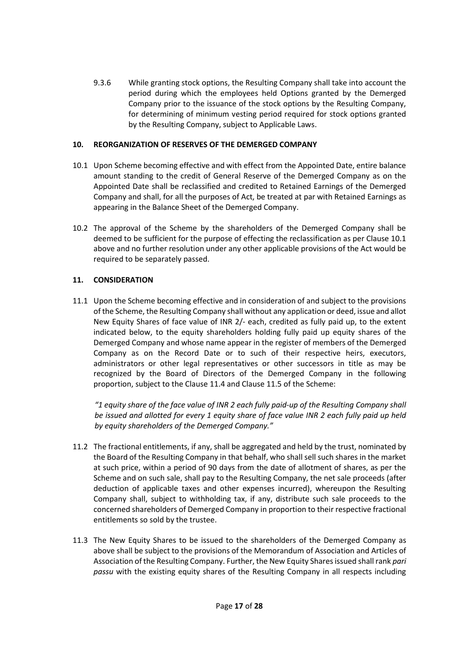9.3.6 While granting stock options, the Resulting Company shall take into account the period during which the employees held Options granted by the Demerged Company prior to the issuance of the stock options by the Resulting Company, for determining of minimum vesting period required for stock options granted by the Resulting Company, subject to Applicable Laws.

## **10. REORGANIZATION OF RESERVES OF THE DEMERGED COMPANY**

- 10.1 Upon Scheme becoming effective and with effect from the Appointed Date, entire balance amount standing to the credit of General Reserve of the Demerged Company as on the Appointed Date shall be reclassified and credited to Retained Earnings of the Demerged Company and shall, for all the purposes of Act, be treated at par with Retained Earnings as appearing in the Balance Sheet of the Demerged Company.
- 10.2 The approval of the Scheme by the shareholders of the Demerged Company shall be deemed to be sufficient for the purpose of effecting the reclassification as per Clause 10.1 above and no further resolution under any other applicable provisions of the Act would be required to be separately passed.

# **11. CONSIDERATION**

11.1 Upon the Scheme becoming effective and in consideration of and subject to the provisions of the Scheme, the Resulting Company shall without any application or deed, issue and allot New Equity Shares of face value of INR 2/- each, credited as fully paid up, to the extent indicated below, to the equity shareholders holding fully paid up equity shares of the Demerged Company and whose name appear in the register of members of the Demerged Company as on the Record Date or to such of their respective heirs, executors, administrators or other legal representatives or other successors in title as may be recognized by the Board of Directors of the Demerged Company in the following proportion, subject to the Clause 11.4 and Clause 11.5 of the Scheme:

*"1 equity share of the face value of INR 2 each fully paid-up of the Resulting Company shall be issued and allotted for every 1 equity share of face value INR 2 each fully paid up held by equity shareholders of the Demerged Company."*

- 11.2 The fractional entitlements, if any, shall be aggregated and held by the trust, nominated by the Board of the Resulting Company in that behalf, who shall sell such shares in the market at such price, within a period of 90 days from the date of allotment of shares, as per the Scheme and on such sale, shall pay to the Resulting Company, the net sale proceeds (after deduction of applicable taxes and other expenses incurred), whereupon the Resulting Company shall, subject to withholding tax, if any, distribute such sale proceeds to the concerned shareholders of Demerged Company in proportion to their respective fractional entitlements so sold by the trustee.
- 11.3 The New Equity Shares to be issued to the shareholders of the Demerged Company as above shall be subject to the provisions of the Memorandum of Association and Articles of Association of the Resulting Company. Further, the New Equity Shares issued shall rank *pari passu* with the existing equity shares of the Resulting Company in all respects including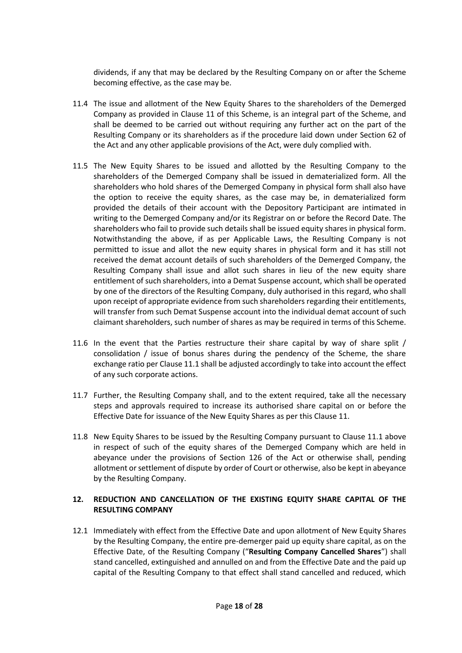dividends, if any that may be declared by the Resulting Company on or after the Scheme becoming effective, as the case may be.

- 11.4 The issue and allotment of the New Equity Shares to the shareholders of the Demerged Company as provided in Clause 11 of this Scheme, is an integral part of the Scheme, and shall be deemed to be carried out without requiring any further act on the part of the Resulting Company or its shareholders as if the procedure laid down under Section 62 of the Act and any other applicable provisions of the Act, were duly complied with.
- 11.5 The New Equity Shares to be issued and allotted by the Resulting Company to the shareholders of the Demerged Company shall be issued in dematerialized form. All the shareholders who hold shares of the Demerged Company in physical form shall also have the option to receive the equity shares, as the case may be, in dematerialized form provided the details of their account with the Depository Participant are intimated in writing to the Demerged Company and/or its Registrar on or before the Record Date. The shareholders who fail to provide such details shall be issued equity shares in physical form. Notwithstanding the above, if as per Applicable Laws, the Resulting Company is not permitted to issue and allot the new equity shares in physical form and it has still not received the demat account details of such shareholders of the Demerged Company, the Resulting Company shall issue and allot such shares in lieu of the new equity share entitlement of such shareholders, into a Demat Suspense account, which shall be operated by one of the directors of the Resulting Company, duly authorised in this regard, who shall upon receipt of appropriate evidence from such shareholders regarding their entitlements, will transfer from such Demat Suspense account into the individual demat account of such claimant shareholders, such number of shares as may be required in terms of this Scheme.
- 11.6 In the event that the Parties restructure their share capital by way of share split / consolidation / issue of bonus shares during the pendency of the Scheme, the share exchange ratio per Clause 11.1 shall be adjusted accordingly to take into account the effect of any such corporate actions.
- 11.7 Further, the Resulting Company shall, and to the extent required, take all the necessary steps and approvals required to increase its authorised share capital on or before the Effective Date for issuance of the New Equity Shares as per this Clause 11.
- 11.8 New Equity Shares to be issued by the Resulting Company pursuant to Clause 11.1 above in respect of such of the equity shares of the Demerged Company which are held in abeyance under the provisions of Section 126 of the Act or otherwise shall, pending allotment or settlement of dispute by order of Court or otherwise, also be kept in abeyance by the Resulting Company.

## **12. REDUCTION AND CANCELLATION OF THE EXISTING EQUITY SHARE CAPITAL OF THE RESULTING COMPANY**

12.1 Immediately with effect from the Effective Date and upon allotment of New Equity Shares by the Resulting Company, the entire pre-demerger paid up equity share capital, as on the Effective Date, of the Resulting Company ("**Resulting Company Cancelled Shares**") shall stand cancelled, extinguished and annulled on and from the Effective Date and the paid up capital of the Resulting Company to that effect shall stand cancelled and reduced, which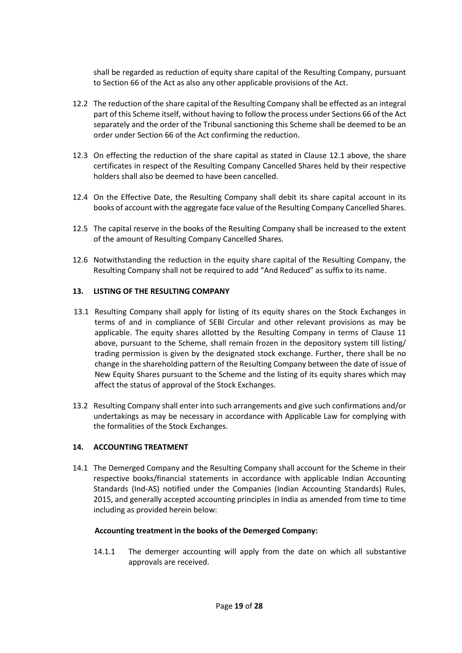shall be regarded as reduction of equity share capital of the Resulting Company, pursuant to Section 66 of the Act as also any other applicable provisions of the Act.

- 12.2 The reduction of the share capital of the Resulting Company shall be effected as an integral part of this Scheme itself, without having to follow the process under Sections 66 of the Act separately and the order of the Tribunal sanctioning this Scheme shall be deemed to be an order under Section 66 of the Act confirming the reduction.
- 12.3 On effecting the reduction of the share capital as stated in Clause 12.1 above, the share certificates in respect of the Resulting Company Cancelled Shares held by their respective holders shall also be deemed to have been cancelled.
- 12.4 On the Effective Date, the Resulting Company shall debit its share capital account in its books of account with the aggregate face value of the Resulting Company Cancelled Shares.
- 12.5 The capital reserve in the books of the Resulting Company shall be increased to the extent of the amount of Resulting Company Cancelled Shares.
- 12.6 Notwithstanding the reduction in the equity share capital of the Resulting Company, the Resulting Company shall not be required to add "And Reduced" as suffix to its name.

### **13. LISTING OF THE RESULTING COMPANY**

- 13.1 Resulting Company shall apply for listing of its equity shares on the Stock Exchanges in terms of and in compliance of SEBI Circular and other relevant provisions as may be applicable. The equity shares allotted by the Resulting Company in terms of Clause 11 above, pursuant to the Scheme, shall remain frozen in the depository system till listing/ trading permission is given by the designated stock exchange. Further, there shall be no change in the shareholding pattern of the Resulting Company between the date of issue of New Equity Shares pursuant to the Scheme and the listing of its equity shares which may affect the status of approval of the Stock Exchanges.
- 13.2 Resulting Company shall enter into such arrangements and give such confirmations and/or undertakings as may be necessary in accordance with Applicable Law for complying with the formalities of the Stock Exchanges.

#### **14. ACCOUNTING TREATMENT**

14.1 The Demerged Company and the Resulting Company shall account for the Scheme in their respective books/financial statements in accordance with applicable Indian Accounting Standards (Ind-AS) notified under the Companies (Indian Accounting Standards) Rules, 2015, and generally accepted accounting principles in India as amended from time to time including as provided herein below:

#### **Accounting treatment in the books of the Demerged Company:**

14.1.1 The demerger accounting will apply from the date on which all substantive approvals are received.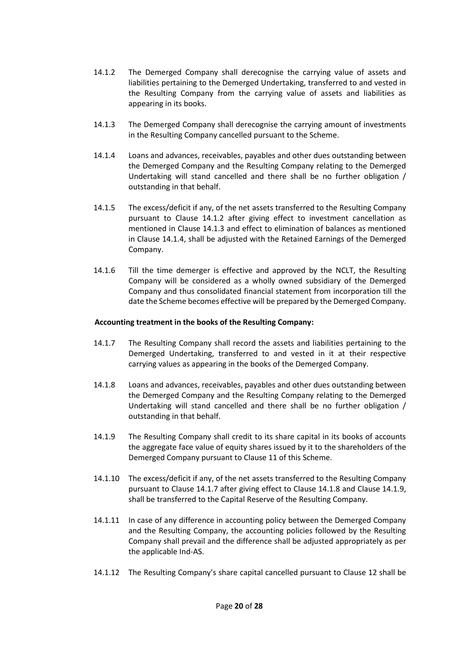- 14.1.2 The Demerged Company shall derecognise the carrying value of assets and liabilities pertaining to the Demerged Undertaking, transferred to and vested in the Resulting Company from the carrying value of assets and liabilities as appearing in its books.
- 14.1.3 The Demerged Company shall derecognise the carrying amount of investments in the Resulting Company cancelled pursuant to the Scheme.
- 14.1.4 Loans and advances, receivables, payables and other dues outstanding between the Demerged Company and the Resulting Company relating to the Demerged Undertaking will stand cancelled and there shall be no further obligation / outstanding in that behalf.
- 14.1.5 The excess/deficit if any, of the net assets transferred to the Resulting Company pursuant to Clause 14.1.2 after giving effect to investment cancellation as mentioned in Clause 14.1.3 and effect to elimination of balances as mentioned in Clause 14.1.4, shall be adjusted with the Retained Earnings of the Demerged Company.
- 14.1.6 Till the time demerger is effective and approved by the NCLT, the Resulting Company will be considered as a wholly owned subsidiary of the Demerged Company and thus consolidated financial statement from incorporation till the date the Scheme becomes effective will be prepared by the Demerged Company.

### **Accounting treatment in the books of the Resulting Company:**

- 14.1.7 The Resulting Company shall record the assets and liabilities pertaining to the Demerged Undertaking, transferred to and vested in it at their respective carrying values as appearing in the books of the Demerged Company.
- 14.1.8 Loans and advances, receivables, payables and other dues outstanding between the Demerged Company and the Resulting Company relating to the Demerged Undertaking will stand cancelled and there shall be no further obligation / outstanding in that behalf.
- 14.1.9 The Resulting Company shall credit to its share capital in its books of accounts the aggregate face value of equity shares issued by it to the shareholders of the Demerged Company pursuant to Clause 11 of this Scheme.
- 14.1.10 The excess/deficit if any, of the net assets transferred to the Resulting Company pursuant to Clause 14.1.7 after giving effect to Clause 14.1.8 and Clause 14.1.9, shall be transferred to the Capital Reserve of the Resulting Company.
- 14.1.11 In case of any difference in accounting policy between the Demerged Company and the Resulting Company, the accounting policies followed by the Resulting Company shall prevail and the difference shall be adjusted appropriately as per the applicable Ind-AS.
- 14.1.12 The Resulting Company's share capital cancelled pursuant to Clause 12 shall be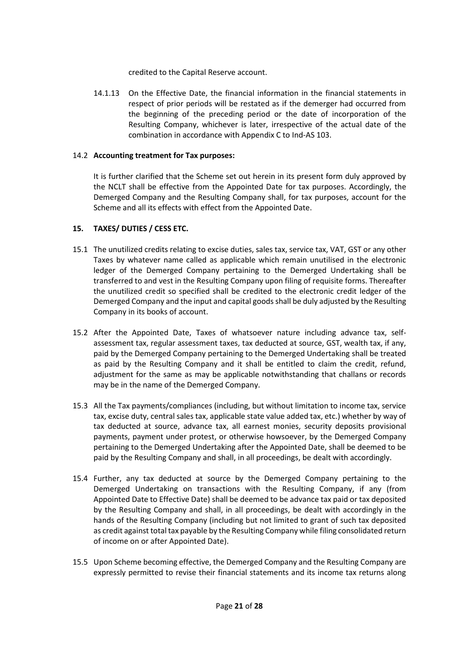credited to the Capital Reserve account.

14.1.13 On the Effective Date, the financial information in the financial statements in respect of prior periods will be restated as if the demerger had occurred from the beginning of the preceding period or the date of incorporation of the Resulting Company, whichever is later, irrespective of the actual date of the combination in accordance with Appendix C to Ind-AS 103.

## 14.2 **Accounting treatment for Tax purposes:**

It is further clarified that the Scheme set out herein in its present form duly approved by the NCLT shall be effective from the Appointed Date for tax purposes. Accordingly, the Demerged Company and the Resulting Company shall, for tax purposes, account for the Scheme and all its effects with effect from the Appointed Date.

## **15. TAXES/ DUTIES / CESS ETC.**

- 15.1 The unutilized credits relating to excise duties, sales tax, service tax, VAT, GST or any other Taxes by whatever name called as applicable which remain unutilised in the electronic ledger of the Demerged Company pertaining to the Demerged Undertaking shall be transferred to and vest in the Resulting Company upon filing of requisite forms. Thereafter the unutilized credit so specified shall be credited to the electronic credit ledger of the Demerged Company and the input and capital goods shall be duly adjusted by the Resulting Company in its books of account.
- 15.2 After the Appointed Date, Taxes of whatsoever nature including advance tax, selfassessment tax, regular assessment taxes, tax deducted at source, GST, wealth tax, if any, paid by the Demerged Company pertaining to the Demerged Undertaking shall be treated as paid by the Resulting Company and it shall be entitled to claim the credit, refund, adjustment for the same as may be applicable notwithstanding that challans or records may be in the name of the Demerged Company.
- 15.3 All the Tax payments/compliances (including, but without limitation to income tax, service tax, excise duty, central sales tax, applicable state value added tax, etc.) whether by way of tax deducted at source, advance tax, all earnest monies, security deposits provisional payments, payment under protest, or otherwise howsoever, by the Demerged Company pertaining to the Demerged Undertaking after the Appointed Date, shall be deemed to be paid by the Resulting Company and shall, in all proceedings, be dealt with accordingly.
- 15.4 Further, any tax deducted at source by the Demerged Company pertaining to the Demerged Undertaking on transactions with the Resulting Company, if any (from Appointed Date to Effective Date) shall be deemed to be advance tax paid or tax deposited by the Resulting Company and shall, in all proceedings, be dealt with accordingly in the hands of the Resulting Company (including but not limited to grant of such tax deposited as credit against total tax payable by the Resulting Company while filing consolidated return of income on or after Appointed Date).
- 15.5 Upon Scheme becoming effective, the Demerged Company and the Resulting Company are expressly permitted to revise their financial statements and its income tax returns along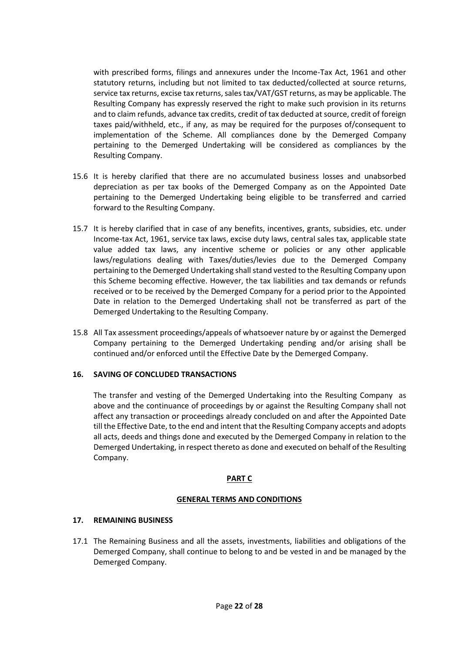with prescribed forms, filings and annexures under the Income-Tax Act, 1961 and other statutory returns, including but not limited to tax deducted/collected at source returns, service tax returns, excise tax returns, sales tax/VAT/GST returns, as may be applicable. The Resulting Company has expressly reserved the right to make such provision in its returns and to claim refunds, advance tax credits, credit of tax deducted at source, credit of foreign taxes paid/withheld, etc., if any, as may be required for the purposes of/consequent to implementation of the Scheme. All compliances done by the Demerged Company pertaining to the Demerged Undertaking will be considered as compliances by the Resulting Company.

- 15.6 It is hereby clarified that there are no accumulated business losses and unabsorbed depreciation as per tax books of the Demerged Company as on the Appointed Date pertaining to the Demerged Undertaking being eligible to be transferred and carried forward to the Resulting Company.
- 15.7 It is hereby clarified that in case of any benefits, incentives, grants, subsidies, etc. under Income-tax Act, 1961, service tax laws, excise duty laws, central sales tax, applicable state value added tax laws, any incentive scheme or policies or any other applicable laws/regulations dealing with Taxes/duties/levies due to the Demerged Company pertaining to the Demerged Undertaking shall stand vested to the Resulting Company upon this Scheme becoming effective. However, the tax liabilities and tax demands or refunds received or to be received by the Demerged Company for a period prior to the Appointed Date in relation to the Demerged Undertaking shall not be transferred as part of the Demerged Undertaking to the Resulting Company.
- 15.8 All Tax assessment proceedings/appeals of whatsoever nature by or against the Demerged Company pertaining to the Demerged Undertaking pending and/or arising shall be continued and/or enforced until the Effective Date by the Demerged Company.

## **16. SAVING OF CONCLUDED TRANSACTIONS**

The transfer and vesting of the Demerged Undertaking into the Resulting Company as above and the continuance of proceedings by or against the Resulting Company shall not affect any transaction or proceedings already concluded on and after the Appointed Date till the Effective Date, to the end and intent that the Resulting Company accepts and adopts all acts, deeds and things done and executed by the Demerged Company in relation to the Demerged Undertaking, in respect thereto as done and executed on behalf of the Resulting Company.

## **PART C**

## **GENERAL TERMS AND CONDITIONS**

## **17. REMAINING BUSINESS**

17.1 The Remaining Business and all the assets, investments, liabilities and obligations of the Demerged Company, shall continue to belong to and be vested in and be managed by the Demerged Company.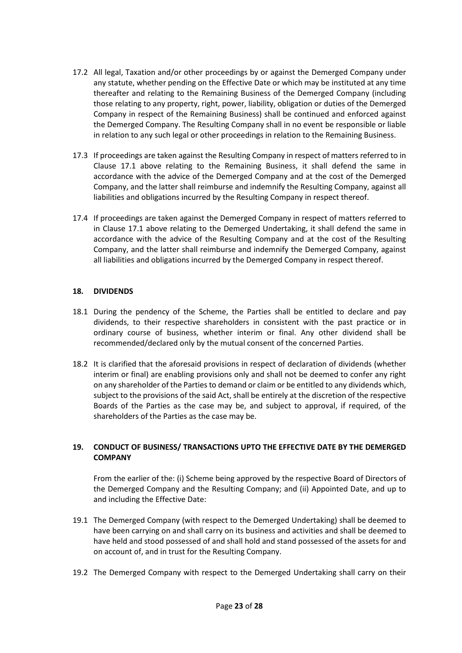- 17.2 All legal, Taxation and/or other proceedings by or against the Demerged Company under any statute, whether pending on the Effective Date or which may be instituted at any time thereafter and relating to the Remaining Business of the Demerged Company (including those relating to any property, right, power, liability, obligation or duties of the Demerged Company in respect of the Remaining Business) shall be continued and enforced against the Demerged Company. The Resulting Company shall in no event be responsible or liable in relation to any such legal or other proceedings in relation to the Remaining Business.
- 17.3 If proceedings are taken against the Resulting Company in respect of matters referred to in Clause 17.1 above relating to the Remaining Business, it shall defend the same in accordance with the advice of the Demerged Company and at the cost of the Demerged Company, and the latter shall reimburse and indemnify the Resulting Company, against all liabilities and obligations incurred by the Resulting Company in respect thereof.
- 17.4 If proceedings are taken against the Demerged Company in respect of matters referred to in Clause 17.1 above relating to the Demerged Undertaking, it shall defend the same in accordance with the advice of the Resulting Company and at the cost of the Resulting Company, and the latter shall reimburse and indemnify the Demerged Company, against all liabilities and obligations incurred by the Demerged Company in respect thereof.

## **18. DIVIDENDS**

- 18.1 During the pendency of the Scheme, the Parties shall be entitled to declare and pay dividends, to their respective shareholders in consistent with the past practice or in ordinary course of business, whether interim or final. Any other dividend shall be recommended/declared only by the mutual consent of the concerned Parties.
- 18.2 It is clarified that the aforesaid provisions in respect of declaration of dividends (whether interim or final) are enabling provisions only and shall not be deemed to confer any right on any shareholder of the Parties to demand or claim or be entitled to any dividends which, subject to the provisions of the said Act, shall be entirely at the discretion of the respective Boards of the Parties as the case may be, and subject to approval, if required, of the shareholders of the Parties as the case may be.

## **19. CONDUCT OF BUSINESS/ TRANSACTIONS UPTO THE EFFECTIVE DATE BY THE DEMERGED COMPANY**

From the earlier of the: (i) Scheme being approved by the respective Board of Directors of the Demerged Company and the Resulting Company; and (ii) Appointed Date, and up to and including the Effective Date:

- 19.1 The Demerged Company (with respect to the Demerged Undertaking) shall be deemed to have been carrying on and shall carry on its business and activities and shall be deemed to have held and stood possessed of and shall hold and stand possessed of the assets for and on account of, and in trust for the Resulting Company.
- 19.2 The Demerged Company with respect to the Demerged Undertaking shall carry on their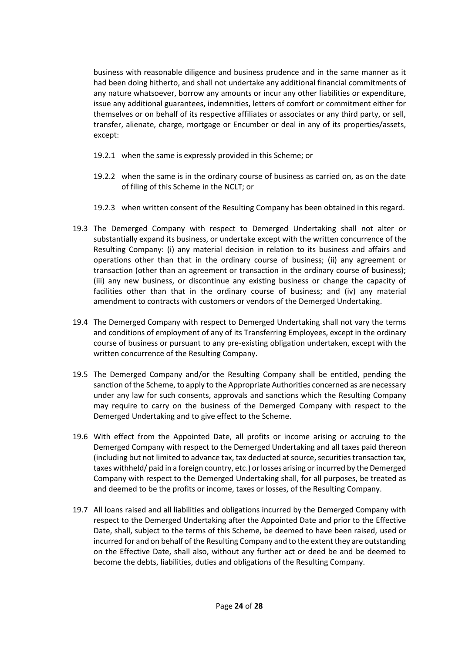business with reasonable diligence and business prudence and in the same manner as it had been doing hitherto, and shall not undertake any additional financial commitments of any nature whatsoever, borrow any amounts or incur any other liabilities or expenditure, issue any additional guarantees, indemnities, letters of comfort or commitment either for themselves or on behalf of its respective affiliates or associates or any third party, or sell, transfer, alienate, charge, mortgage or Encumber or deal in any of its properties/assets, except:

- 19.2.1 when the same is expressly provided in this Scheme; or
- 19.2.2 when the same is in the ordinary course of business as carried on, as on the date of filing of this Scheme in the NCLT; or
- 19.2.3 when written consent of the Resulting Company has been obtained in this regard.
- 19.3 The Demerged Company with respect to Demerged Undertaking shall not alter or substantially expand its business, or undertake except with the written concurrence of the Resulting Company: (i) any material decision in relation to its business and affairs and operations other than that in the ordinary course of business; (ii) any agreement or transaction (other than an agreement or transaction in the ordinary course of business); (iii) any new business, or discontinue any existing business or change the capacity of facilities other than that in the ordinary course of business; and (iv) any material amendment to contracts with customers or vendors of the Demerged Undertaking.
- 19.4 The Demerged Company with respect to Demerged Undertaking shall not vary the terms and conditions of employment of any of its Transferring Employees, except in the ordinary course of business or pursuant to any pre-existing obligation undertaken, except with the written concurrence of the Resulting Company.
- 19.5 The Demerged Company and/or the Resulting Company shall be entitled, pending the sanction of the Scheme, to apply to the Appropriate Authorities concerned as are necessary under any law for such consents, approvals and sanctions which the Resulting Company may require to carry on the business of the Demerged Company with respect to the Demerged Undertaking and to give effect to the Scheme.
- 19.6 With effect from the Appointed Date, all profits or income arising or accruing to the Demerged Company with respect to the Demerged Undertaking and all taxes paid thereon (including but not limited to advance tax, tax deducted at source, securities transaction tax, taxes withheld/ paid in a foreign country, etc.) or losses arising or incurred by the Demerged Company with respect to the Demerged Undertaking shall, for all purposes, be treated as and deemed to be the profits or income, taxes or losses, of the Resulting Company.
- 19.7 All loans raised and all liabilities and obligations incurred by the Demerged Company with respect to the Demerged Undertaking after the Appointed Date and prior to the Effective Date, shall, subject to the terms of this Scheme, be deemed to have been raised, used or incurred for and on behalf of the Resulting Company and to the extent they are outstanding on the Effective Date, shall also, without any further act or deed be and be deemed to become the debts, liabilities, duties and obligations of the Resulting Company.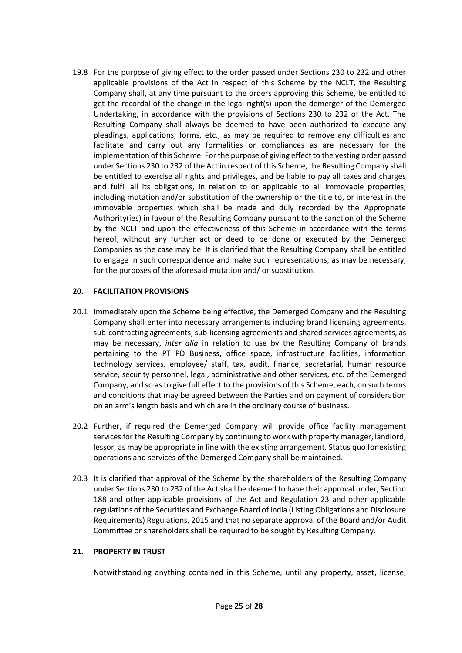19.8 For the purpose of giving effect to the order passed under Sections 230 to 232 and other applicable provisions of the Act in respect of this Scheme by the NCLT, the Resulting Company shall, at any time pursuant to the orders approving this Scheme, be entitled to get the recordal of the change in the legal right(s) upon the demerger of the Demerged Undertaking, in accordance with the provisions of Sections 230 to 232 of the Act. The Resulting Company shall always be deemed to have been authorized to execute any pleadings, applications, forms, etc., as may be required to remove any difficulties and facilitate and carry out any formalities or compliances as are necessary for the implementation of this Scheme. For the purpose of giving effect to the vesting order passed under Sections 230 to 232 of the Act in respect of this Scheme, the Resulting Company shall be entitled to exercise all rights and privileges, and be liable to pay all taxes and charges and fulfil all its obligations, in relation to or applicable to all immovable properties, including mutation and/or substitution of the ownership or the title to, or interest in the immovable properties which shall be made and duly recorded by the Appropriate Authority(ies) in favour of the Resulting Company pursuant to the sanction of the Scheme by the NCLT and upon the effectiveness of this Scheme in accordance with the terms hereof, without any further act or deed to be done or executed by the Demerged Companies as the case may be. It is clarified that the Resulting Company shall be entitled to engage in such correspondence and make such representations, as may be necessary, for the purposes of the aforesaid mutation and/ or substitution.

## **20. FACILITATION PROVISIONS**

- 20.1 Immediately upon the Scheme being effective, the Demerged Company and the Resulting Company shall enter into necessary arrangements including brand licensing agreements, sub-contracting agreements, sub-licensing agreements and shared services agreements, as may be necessary, *inter alia* in relation to use by the Resulting Company of brands pertaining to the PT PD Business, office space, infrastructure facilities, information technology services, employee/ staff, tax, audit, finance, secretarial, human resource service, security personnel, legal, administrative and other services, etc. of the Demerged Company, and so as to give full effect to the provisions of this Scheme, each, on such terms and conditions that may be agreed between the Parties and on payment of consideration on an arm's length basis and which are in the ordinary course of business.
- 20.2 Further, if required the Demerged Company will provide office facility management services for the Resulting Company by continuing to work with property manager, landlord, lessor, as may be appropriate in line with the existing arrangement. Status quo for existing operations and services of the Demerged Company shall be maintained.
- 20.3 It is clarified that approval of the Scheme by the shareholders of the Resulting Company under Sections 230 to 232 of the Act shall be deemed to have their approval under, Section 188 and other applicable provisions of the Act and Regulation 23 and other applicable regulations of the Securities and Exchange Board of India (Listing Obligations and Disclosure Requirements) Regulations, 2015 and that no separate approval of the Board and/or Audit Committee or shareholders shall be required to be sought by Resulting Company.

## **21. PROPERTY IN TRUST**

Notwithstanding anything contained in this Scheme, until any property, asset, license,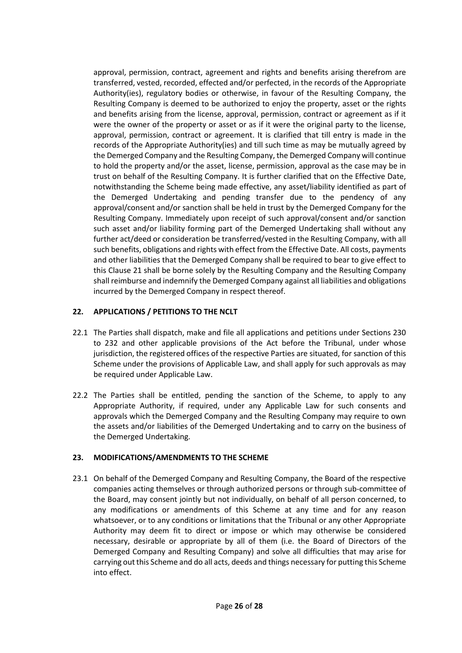approval, permission, contract, agreement and rights and benefits arising therefrom are transferred, vested, recorded, effected and/or perfected, in the records of the Appropriate Authority(ies), regulatory bodies or otherwise, in favour of the Resulting Company, the Resulting Company is deemed to be authorized to enjoy the property, asset or the rights and benefits arising from the license, approval, permission, contract or agreement as if it were the owner of the property or asset or as if it were the original party to the license, approval, permission, contract or agreement. It is clarified that till entry is made in the records of the Appropriate Authority(ies) and till such time as may be mutually agreed by the Demerged Company and the Resulting Company, the Demerged Company will continue to hold the property and/or the asset, license, permission, approval as the case may be in trust on behalf of the Resulting Company. It is further clarified that on the Effective Date, notwithstanding the Scheme being made effective, any asset/liability identified as part of the Demerged Undertaking and pending transfer due to the pendency of any approval/consent and/or sanction shall be held in trust by the Demerged Company for the Resulting Company. Immediately upon receipt of such approval/consent and/or sanction such asset and/or liability forming part of the Demerged Undertaking shall without any further act/deed or consideration be transferred/vested in the Resulting Company, with all such benefits, obligations and rights with effect from the Effective Date. All costs, payments and other liabilities that the Demerged Company shall be required to bear to give effect to this Clause 21 shall be borne solely by the Resulting Company and the Resulting Company shall reimburse and indemnify the Demerged Company against all liabilities and obligations incurred by the Demerged Company in respect thereof.

# **22. APPLICATIONS / PETITIONS TO THE NCLT**

- 22.1 The Parties shall dispatch, make and file all applications and petitions under Sections 230 to 232 and other applicable provisions of the Act before the Tribunal, under whose jurisdiction, the registered offices of the respective Parties are situated, for sanction of this Scheme under the provisions of Applicable Law, and shall apply for such approvals as may be required under Applicable Law.
- 22.2 The Parties shall be entitled, pending the sanction of the Scheme, to apply to any Appropriate Authority, if required, under any Applicable Law for such consents and approvals which the Demerged Company and the Resulting Company may require to own the assets and/or liabilities of the Demerged Undertaking and to carry on the business of the Demerged Undertaking.

## **23. MODIFICATIONS/AMENDMENTS TO THE SCHEME**

23.1 On behalf of the Demerged Company and Resulting Company, the Board of the respective companies acting themselves or through authorized persons or through sub-committee of the Board, may consent jointly but not individually, on behalf of all person concerned, to any modifications or amendments of this Scheme at any time and for any reason whatsoever, or to any conditions or limitations that the Tribunal or any other Appropriate Authority may deem fit to direct or impose or which may otherwise be considered necessary, desirable or appropriate by all of them (i.e. the Board of Directors of the Demerged Company and Resulting Company) and solve all difficulties that may arise for carrying out this Scheme and do all acts, deeds and things necessary for putting this Scheme into effect.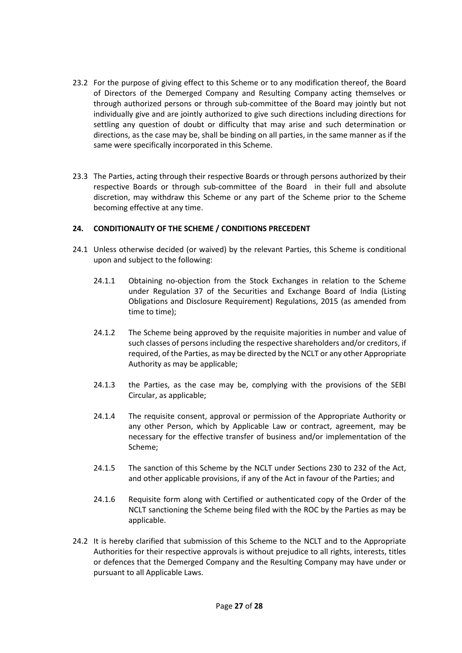- 23.2 For the purpose of giving effect to this Scheme or to any modification thereof, the Board of Directors of the Demerged Company and Resulting Company acting themselves or through authorized persons or through sub-committee of the Board may jointly but not individually give and are jointly authorized to give such directions including directions for settling any question of doubt or difficulty that may arise and such determination or directions, as the case may be, shall be binding on all parties, in the same manner as if the same were specifically incorporated in this Scheme.
- 23.3 The Parties, acting through their respective Boards or through persons authorized by their respective Boards or through sub-committee of the Board in their full and absolute discretion, may withdraw this Scheme or any part of the Scheme prior to the Scheme becoming effective at any time.

## **24. CONDITIONALITY OF THE SCHEME / CONDITIONS PRECEDENT**

- 24.1 Unless otherwise decided (or waived) by the relevant Parties, this Scheme is conditional upon and subject to the following:
	- 24.1.1 Obtaining no-objection from the Stock Exchanges in relation to the Scheme under Regulation 37 of the Securities and Exchange Board of India (Listing Obligations and Disclosure Requirement) Regulations, 2015 (as amended from time to time);
	- 24.1.2 The Scheme being approved by the requisite majorities in number and value of such classes of persons including the respective shareholders and/or creditors, if required, of the Parties, as may be directed by the NCLT or any other Appropriate Authority as may be applicable;
	- 24.1.3 the Parties, as the case may be, complying with the provisions of the SEBI Circular, as applicable;
	- 24.1.4 The requisite consent, approval or permission of the Appropriate Authority or any other Person, which by Applicable Law or contract, agreement, may be necessary for the effective transfer of business and/or implementation of the Scheme;
	- 24.1.5 The sanction of this Scheme by the NCLT under Sections 230 to 232 of the Act, and other applicable provisions, if any of the Act in favour of the Parties; and
	- 24.1.6 Requisite form along with Certified or authenticated copy of the Order of the NCLT sanctioning the Scheme being filed with the ROC by the Parties as may be applicable.
- 24.2 It is hereby clarified that submission of this Scheme to the NCLT and to the Appropriate Authorities for their respective approvals is without prejudice to all rights, interests, titles or defences that the Demerged Company and the Resulting Company may have under or pursuant to all Applicable Laws.